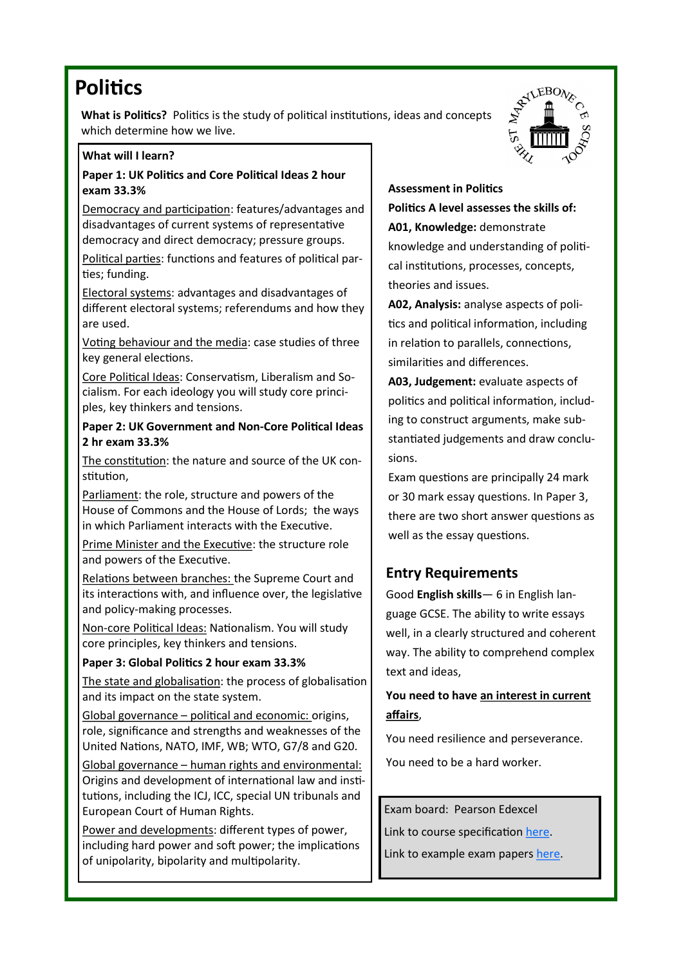## **Politics**

**What is Politics?** Politics is the study of political institutions, ideas and concepts which determine how we live.

#### **What will I learn?**

**Paper 1: UK Politics and Core Political Ideas 2 hour exam 33.3%**

Democracy and participation: features/advantages and disadvantages of current systems of representative democracy and direct democracy; pressure groups.

Political parties: functions and features of political parties; funding.

Electoral systems: advantages and disadvantages of different electoral systems; referendums and how they are used.

Voting behaviour and the media: case studies of three key general elections.

Core Political Ideas: Conservatism, Liberalism and Socialism. For each ideology you will study core principles, key thinkers and tensions.

**Paper 2: UK Government and Non-Core Political Ideas 2 hr exam 33.3%**

The constitution: the nature and source of the UK constitution,

Parliament: the role, structure and powers of the House of Commons and the House of Lords; the ways in which Parliament interacts with the Executive.

Prime Minister and the Executive: the structure role and powers of the Executive.

Relations between branches: the Supreme Court and its interactions with, and influence over, the legislative and policy-making processes.

Non-core Political Ideas: Nationalism. You will study core principles, key thinkers and tensions.

**Paper 3: Global Politics 2 hour exam 33.3%**

The state and globalisation: the process of globalisation and its impact on the state system.

Global governance – political and economic: origins, role, significance and strengths and weaknesses of the United Nations, NATO, IMF, WB; WTO, G7/8 and G20.

Global governance – human rights and environmental: Origins and development of international law and institutions, including the ICJ, ICC, special UN tribunals and European Court of Human Rights.

Power and developments: different types of power, including hard power and soft power; the implications of unipolarity, bipolarity and multipolarity.



**Assessment in Politics Politics A level assesses the skills of: A01, Knowledge:** demonstrate knowledge and understanding of political institutions, processes, concepts, theories and issues.

**A02, Analysis:** analyse aspects of politics and political information, including in relation to parallels, connections, similarities and differences.

**A03, Judgement:** evaluate aspects of politics and political information, including to construct arguments, make substantiated judgements and draw conclusions.

Exam questions are principally 24 mark or 30 mark essay questions. In Paper 3, there are two short answer questions as well as the essay questions.

### **Entry Requirements**

Good **English skills**— 6 in English language GCSE. The ability to write essays well, in a clearly structured and coherent way. The ability to comprehend complex text and ideas,

**You need to have an interest in current affairs**,

You need resilience and perseverance.

You need to be a hard worker.

Exam board: Pearson Edexcel Link to course specification [here.](file:///T:/Department Private/G&P_private/2. LESSONS & RESOURCES/6. Spec and exam support/A-level-Politics-Specification.pdf) Link to example exam papers [here.](https://qualifications.pearson.com/en/qualifications/edexcel-a-levels/politics-2017.coursematerials.html#filterQuery=category:Pearson-UK:Category%2FSpecification-and-sample-assessments)